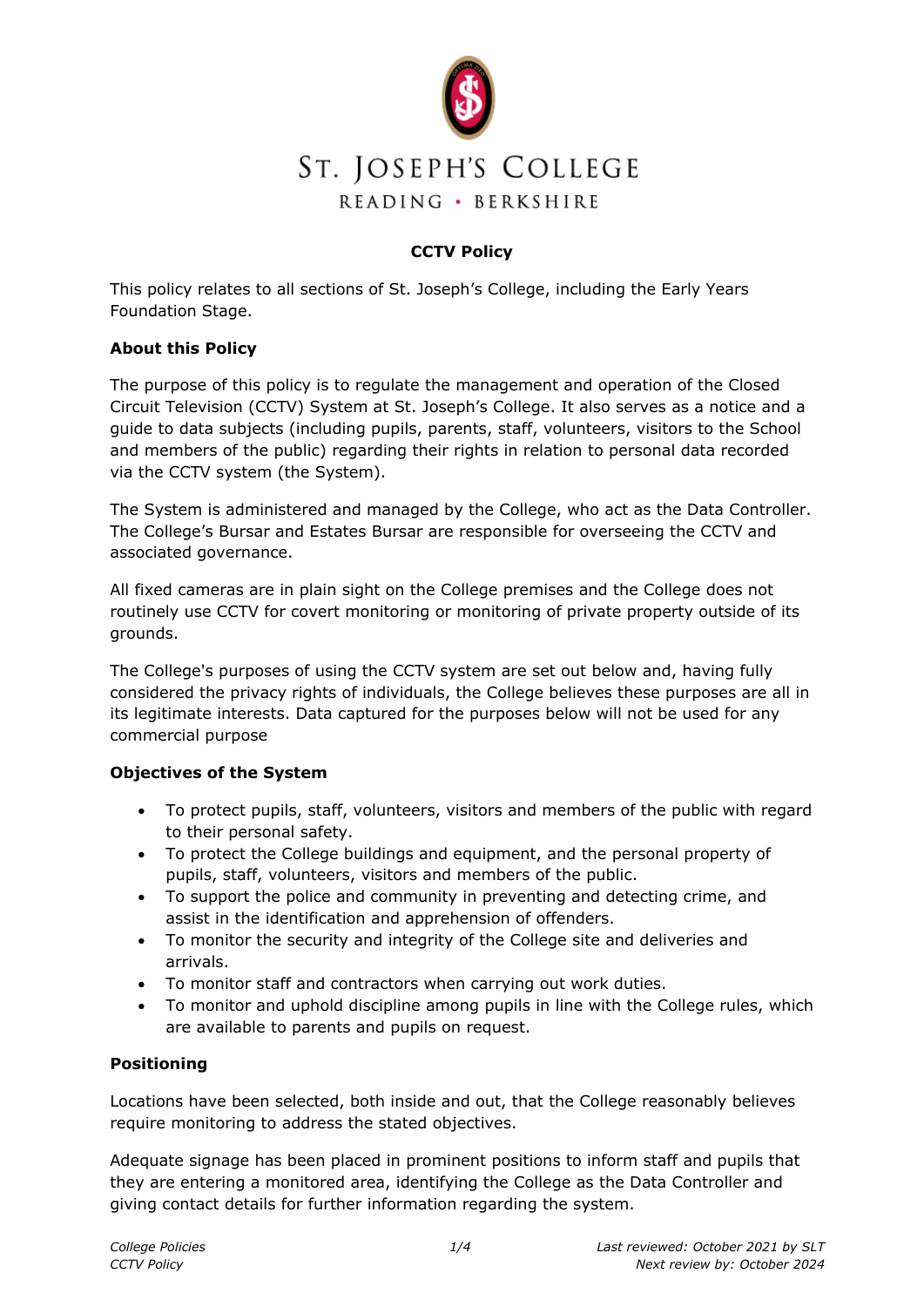

## **CCTV Policy**

This policy relates to all sections of St. Joseph's College, including the Early Years Foundation Stage.

#### **About this Policy**

The purpose of this policy is to regulate the management and operation of the Closed Circuit Television (CCTV) System at St. Joseph's College. It also serves as a notice and a guide to data subjects (including pupils, parents, staff, volunteers, visitors to the School and members of the public) regarding their rights in relation to personal data recorded via the CCTV system (the System).

The System is administered and managed by the College, who act as the Data Controller. The College's Bursar and Estates Bursar are responsible for overseeing the CCTV and associated governance.

All fixed cameras are in plain sight on the College premises and the College does not routinely use CCTV for covert monitoring or monitoring of private property outside of its grounds.

The College's purposes of using the CCTV system are set out below and, having fully considered the privacy rights of individuals, the College believes these purposes are all in its legitimate interests. Data captured for the purposes below will not be used for any commercial purpose

## **Objectives of the System**

- To protect pupils, staff, volunteers, visitors and members of the public with regard to their personal safety.
- To protect the College buildings and equipment, and the personal property of pupils, staff, volunteers, visitors and members of the public.
- To support the police and community in preventing and detecting crime, and assist in the identification and apprehension of offenders.
- To monitor the security and integrity of the College site and deliveries and arrivals.
- To monitor staff and contractors when carrying out work duties.
- To monitor and uphold discipline among pupils in line with the College rules, which are available to parents and pupils on request.

## **Positioning**

Locations have been selected, both inside and out, that the College reasonably believes require monitoring to address the stated objectives.

Adequate signage has been placed in prominent positions to inform staff and pupils that they are entering a monitored area, identifying the College as the Data Controller and giving contact details for further information regarding the system.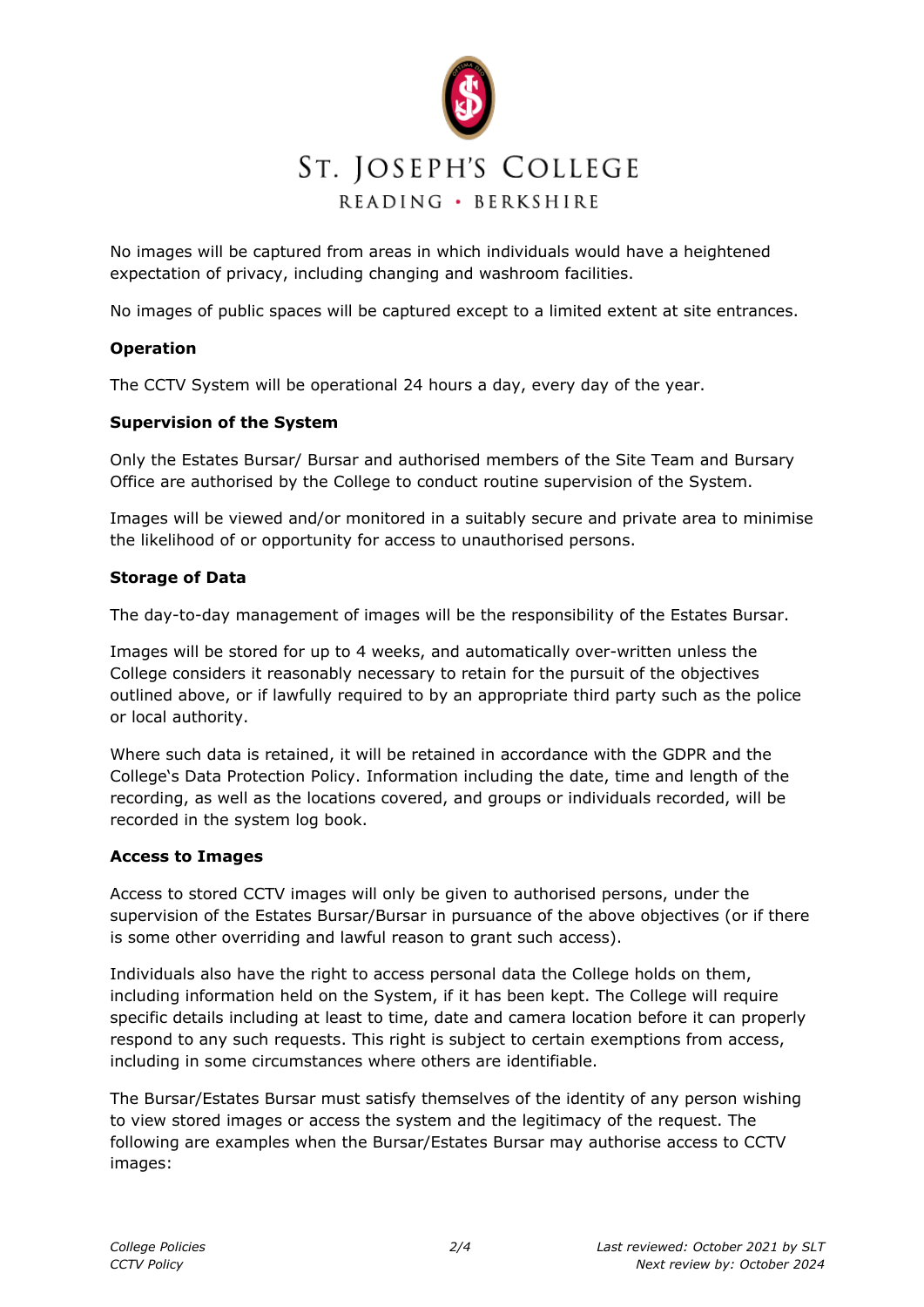

No images will be captured from areas in which individuals would have a heightened expectation of privacy, including changing and washroom facilities.

No images of public spaces will be captured except to a limited extent at site entrances.

#### **Operation**

The CCTV System will be operational 24 hours a day, every day of the year.

#### **Supervision of the System**

Only the Estates Bursar/ Bursar and authorised members of the Site Team and Bursary Office are authorised by the College to conduct routine supervision of the System.

Images will be viewed and/or monitored in a suitably secure and private area to minimise the likelihood of or opportunity for access to unauthorised persons.

#### **Storage of Data**

The day-to-day management of images will be the responsibility of the Estates Bursar.

Images will be stored for up to 4 weeks, and automatically over-written unless the College considers it reasonably necessary to retain for the pursuit of the objectives outlined above, or if lawfully required to by an appropriate third party such as the police or local authority.

Where such data is retained, it will be retained in accordance with the GDPR and the College's Data Protection Policy. Information including the date, time and length of the recording, as well as the locations covered, and groups or individuals recorded, will be recorded in the system log book.

#### **Access to Images**

Access to stored CCTV images will only be given to authorised persons, under the supervision of the Estates Bursar/Bursar in pursuance of the above objectives (or if there is some other overriding and lawful reason to grant such access).

Individuals also have the right to access personal data the College holds on them, including information held on the System, if it has been kept. The College will require specific details including at least to time, date and camera location before it can properly respond to any such requests. This right is subject to certain exemptions from access, including in some circumstances where others are identifiable.

The Bursar/Estates Bursar must satisfy themselves of the identity of any person wishing to view stored images or access the system and the legitimacy of the request. The following are examples when the Bursar/Estates Bursar may authorise access to CCTV images: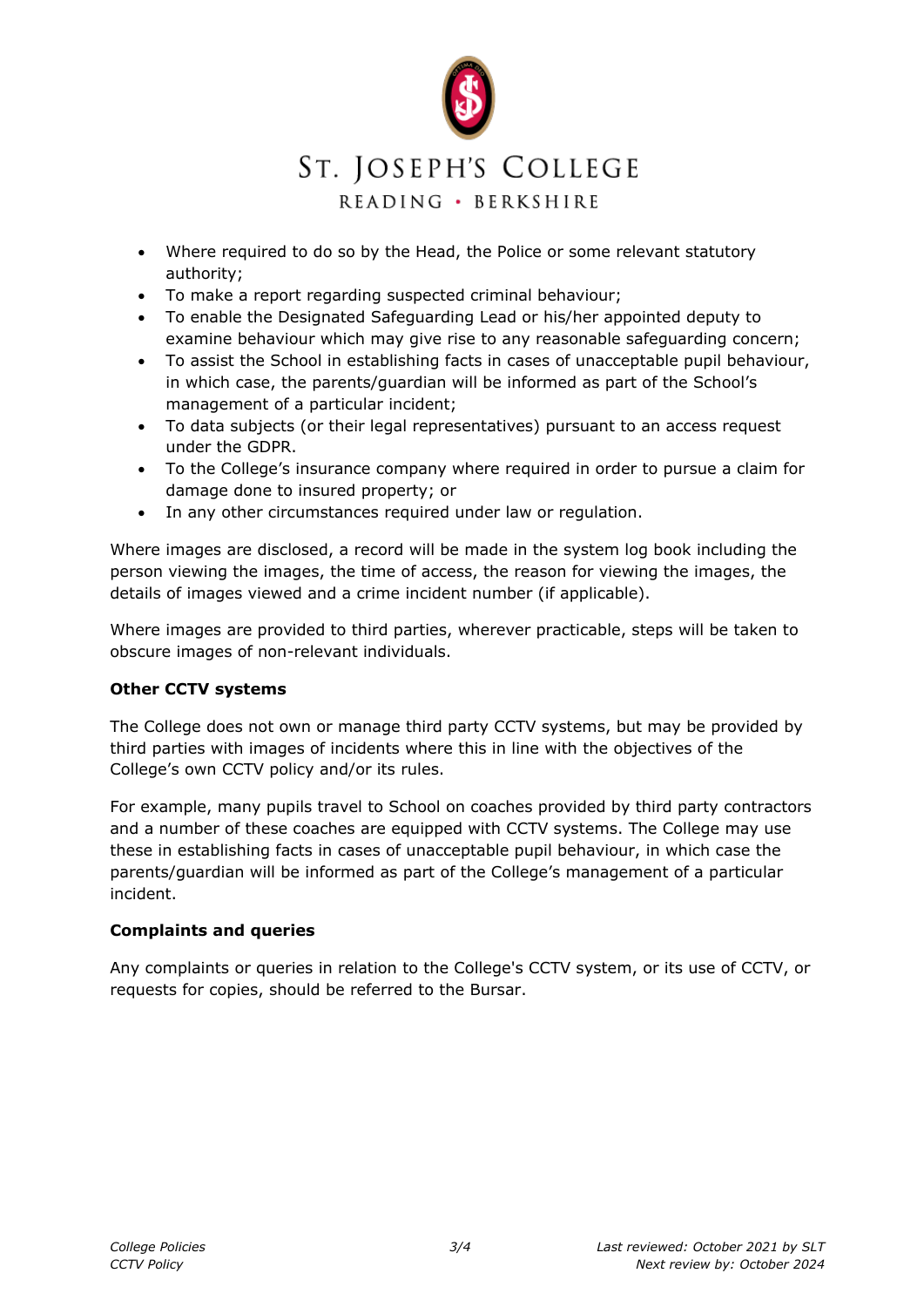

# ST. JOSEPH'S COLLEGE

## READING · BERKSHIRE

- Where required to do so by the Head, the Police or some relevant statutory authority;
- To make a report regarding suspected criminal behaviour;
- To enable the Designated Safeguarding Lead or his/her appointed deputy to examine behaviour which may give rise to any reasonable safeguarding concern;
- To assist the School in establishing facts in cases of unacceptable pupil behaviour, in which case, the parents/guardian will be informed as part of the School's management of a particular incident;
- To data subjects (or their legal representatives) pursuant to an access request under the GDPR.
- To the College's insurance company where required in order to pursue a claim for damage done to insured property; or
- In any other circumstances required under law or regulation.

Where images are disclosed, a record will be made in the system log book including the person viewing the images, the time of access, the reason for viewing the images, the details of images viewed and a crime incident number (if applicable).

Where images are provided to third parties, wherever practicable, steps will be taken to obscure images of non-relevant individuals.

## **Other CCTV systems**

The College does not own or manage third party CCTV systems, but may be provided by third parties with images of incidents where this in line with the objectives of the College's own CCTV policy and/or its rules.

For example, many pupils travel to School on coaches provided by third party contractors and a number of these coaches are equipped with CCTV systems. The College may use these in establishing facts in cases of unacceptable pupil behaviour, in which case the parents/guardian will be informed as part of the College's management of a particular incident.

#### **Complaints and queries**

Any complaints or queries in relation to the College's CCTV system, or its use of CCTV, or requests for copies, should be referred to the Bursar.